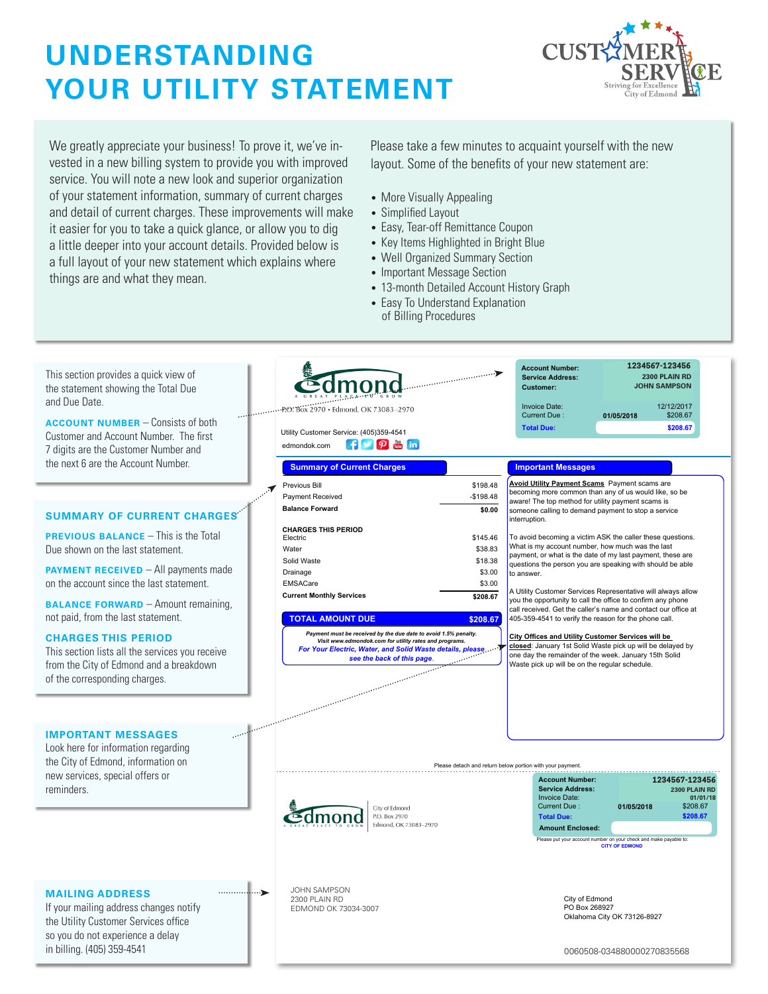## **UNDERSTANDING YOUR UTILITY STATEMENT**



We greatly appreciate your business! To prove it, we've invested in a new billing system to provide you with improved service. You will note a new look and superior organization of your statement information, summary of current charges and detail of current charges. These improvements will make it easier for you to take a quick glance, or allow you to dig a little deeper into your account details. Provided below is a full layout of your new statement which explains where things are and what they mean.

Please take a few minutes to acquaint yourself with the new layout. Some of the benefits of your new statement are:

- More Visually Appealing
- Simplified Layout
- Easy, Tear-off Remittance Coupon
- Key Items Highlighted in Bright Blue
- Well Organized Summary Section
- Important Message Section
- 13-month Detailed Account History Graph
- Easy To Understand Explanation of Billing Procedures

| $\ddotsc$<br><b>ACCOUNT NUMBER</b> – Consists of both<br><b>Total Due:</b><br>\$208.67<br>Utility Customer Service: (405)359-4541<br>Customer and Account Number. The first<br>$f$ $\rho$ $_m$ in<br>edmondok.com<br>7 digits are the Customer Number and<br>the next 6 are the Account Number.<br><b>Important Messages</b><br><b>Summary of Current Charges</b><br>Avoid Utility Payment Scams Payment scams are<br>Previous Bill<br>\$198.48<br>becoming more common than any of us would like, so be<br>Payment Received<br>$-$198.48$<br>aware! The top method for utility payment scams is<br><b>Balance Forward</b><br>\$0.00<br>someone calling to demand payment to stop a service<br><b>SUMMARY OF CURRENT CHARGES</b><br>interruption.<br><b>CHARGES THIS PERIOD</b><br><b>PREVIOUS BALANCE - This is the Total</b><br>\$145.46<br>To avoid becoming a victim ASK the caller these questions.<br>Electric<br>What is my account number, how much was the last<br>Due shown on the last statement.<br>Water<br>\$38.83<br>payment, or what is the date of my last payment, these are<br>Solid Waste<br>\$18.38<br>questions the person you are speaking with should be able<br><b>PAYMENT RECEIVED</b> - All payments made<br>Drainage<br>\$3.00<br>to answer.<br>on the account since the last statement.<br>EMSACare<br>\$3.00<br>A Utility Customer Services Representative will always allow<br><b>Current Monthly Services</b><br>\$208.67<br>you the opportunity to call the office to confirm any phone<br><b>BALANCE FORWARD</b> - Amount remaining,<br>call received. Get the caller's name and contact our office at<br>not paid, from the last statement.<br><b>TOTAL AMOUNT DUE</b><br>405-359-4541 to verify the reason for the phone call.<br>\$208.67<br>Payment must be received by the due date to avoid 1.5% penalty.<br><b>CHARGES THIS PERIOD</b><br>City Offices and Utility Customer Services will be<br>Visit www.edmondok.com for utility rates and programs.<br>closed: January 1st Solid Waste pick up will be delayed by<br>For Your Electric, Water, and Solid Waste details, please<br>see the back of this page.<br>This section lists all the services you receive<br>one day the remainder of the week. January 15th Solid<br>see the back of this page.<br>from the City of Edmond and a breakdown<br>Waste pick up will be on the regular schedule.<br>of the corresponding charges.<br>and a straight and straight and straight and straight and straight and straight and straight and straight and<br><b>IMPORTANT MESSAGES</b><br>Look here for information regarding<br>the City of Edmond, information on<br>Please detach and return below portion with your payment<br>new services, special offers or<br><b>Account Number:</b><br>1234567-123456<br>reminders.<br><b>Service Address:</b><br>2300 PLAIN RD<br><b>Invoice Date:</b><br>01/01/18<br>Current Due:<br>01/05/2018<br>\$208.67<br>City of Edmond<br>P.O. Box 2970<br>\$208.67<br><b>Total Due:</b><br>Edmond, OK 73083-2970<br><b>Amount Enclosed:</b><br>Please put your account number on your check and make payable to:<br><b>CITY OF EDMOND</b><br><b>JOHN SAMPSON</b><br>┈⋗<br><b>MAILING ADDRESS</b><br>City of Edmond<br>2300 PLAIN RD<br>If your mailing address changes notify<br>PO Box 268927<br>EDMOND OK 73034-3007<br>Oklahoma City OK 73126-8927<br>the Utility Customer Services office<br>so you do not experience a delay<br>in billing. (405) 359-4541<br>0060508-034880000270835568 | This section provides a quick view of<br>the statement showing the Total Due<br>and Due Date. | <b>Communication</b><br>P.O. Box 2970 · Edmond, OK 73083-2970 | 1234567-123456<br><b>Account Number:</b><br>2300 PLAIN RD<br><b>Service Address:</b><br><b>JOHN SAMPSON</b><br><b>Customer:</b><br><b>Invoice Date:</b><br>12/12/2017 |
|--------------------------------------------------------------------------------------------------------------------------------------------------------------------------------------------------------------------------------------------------------------------------------------------------------------------------------------------------------------------------------------------------------------------------------------------------------------------------------------------------------------------------------------------------------------------------------------------------------------------------------------------------------------------------------------------------------------------------------------------------------------------------------------------------------------------------------------------------------------------------------------------------------------------------------------------------------------------------------------------------------------------------------------------------------------------------------------------------------------------------------------------------------------------------------------------------------------------------------------------------------------------------------------------------------------------------------------------------------------------------------------------------------------------------------------------------------------------------------------------------------------------------------------------------------------------------------------------------------------------------------------------------------------------------------------------------------------------------------------------------------------------------------------------------------------------------------------------------------------------------------------------------------------------------------------------------------------------------------------------------------------------------------------------------------------------------------------------------------------------------------------------------------------------------------------------------------------------------------------------------------------------------------------------------------------------------------------------------------------------------------------------------------------------------------------------------------------------------------------------------------------------------------------------------------------------------------------------------------------------------------------------------------------------------------------------------------------------------------------------------------------------------------------------------------------------------------------------------------------------------------------------------------------------------------------------------------------------------------------------------------------------------------------------------------------------------------------------------------------------------------------------------------------------------------------------------------------------------------------------------------------------------------------------------------------------------------------------------------------------------------------------------------------------------------------------------------------------------------------------------------------------------|-----------------------------------------------------------------------------------------------|---------------------------------------------------------------|-----------------------------------------------------------------------------------------------------------------------------------------------------------------------|
|                                                                                                                                                                                                                                                                                                                                                                                                                                                                                                                                                                                                                                                                                                                                                                                                                                                                                                                                                                                                                                                                                                                                                                                                                                                                                                                                                                                                                                                                                                                                                                                                                                                                                                                                                                                                                                                                                                                                                                                                                                                                                                                                                                                                                                                                                                                                                                                                                                                                                                                                                                                                                                                                                                                                                                                                                                                                                                                                                                                                                                                                                                                                                                                                                                                                                                                                                                                                                                                                                                                          |                                                                                               |                                                               | Current Due:<br>\$208.67<br>01/05/2018                                                                                                                                |
|                                                                                                                                                                                                                                                                                                                                                                                                                                                                                                                                                                                                                                                                                                                                                                                                                                                                                                                                                                                                                                                                                                                                                                                                                                                                                                                                                                                                                                                                                                                                                                                                                                                                                                                                                                                                                                                                                                                                                                                                                                                                                                                                                                                                                                                                                                                                                                                                                                                                                                                                                                                                                                                                                                                                                                                                                                                                                                                                                                                                                                                                                                                                                                                                                                                                                                                                                                                                                                                                                                                          |                                                                                               |                                                               |                                                                                                                                                                       |
|                                                                                                                                                                                                                                                                                                                                                                                                                                                                                                                                                                                                                                                                                                                                                                                                                                                                                                                                                                                                                                                                                                                                                                                                                                                                                                                                                                                                                                                                                                                                                                                                                                                                                                                                                                                                                                                                                                                                                                                                                                                                                                                                                                                                                                                                                                                                                                                                                                                                                                                                                                                                                                                                                                                                                                                                                                                                                                                                                                                                                                                                                                                                                                                                                                                                                                                                                                                                                                                                                                                          |                                                                                               |                                                               |                                                                                                                                                                       |
|                                                                                                                                                                                                                                                                                                                                                                                                                                                                                                                                                                                                                                                                                                                                                                                                                                                                                                                                                                                                                                                                                                                                                                                                                                                                                                                                                                                                                                                                                                                                                                                                                                                                                                                                                                                                                                                                                                                                                                                                                                                                                                                                                                                                                                                                                                                                                                                                                                                                                                                                                                                                                                                                                                                                                                                                                                                                                                                                                                                                                                                                                                                                                                                                                                                                                                                                                                                                                                                                                                                          |                                                                                               |                                                               |                                                                                                                                                                       |
|                                                                                                                                                                                                                                                                                                                                                                                                                                                                                                                                                                                                                                                                                                                                                                                                                                                                                                                                                                                                                                                                                                                                                                                                                                                                                                                                                                                                                                                                                                                                                                                                                                                                                                                                                                                                                                                                                                                                                                                                                                                                                                                                                                                                                                                                                                                                                                                                                                                                                                                                                                                                                                                                                                                                                                                                                                                                                                                                                                                                                                                                                                                                                                                                                                                                                                                                                                                                                                                                                                                          |                                                                                               |                                                               |                                                                                                                                                                       |
|                                                                                                                                                                                                                                                                                                                                                                                                                                                                                                                                                                                                                                                                                                                                                                                                                                                                                                                                                                                                                                                                                                                                                                                                                                                                                                                                                                                                                                                                                                                                                                                                                                                                                                                                                                                                                                                                                                                                                                                                                                                                                                                                                                                                                                                                                                                                                                                                                                                                                                                                                                                                                                                                                                                                                                                                                                                                                                                                                                                                                                                                                                                                                                                                                                                                                                                                                                                                                                                                                                                          |                                                                                               |                                                               |                                                                                                                                                                       |
|                                                                                                                                                                                                                                                                                                                                                                                                                                                                                                                                                                                                                                                                                                                                                                                                                                                                                                                                                                                                                                                                                                                                                                                                                                                                                                                                                                                                                                                                                                                                                                                                                                                                                                                                                                                                                                                                                                                                                                                                                                                                                                                                                                                                                                                                                                                                                                                                                                                                                                                                                                                                                                                                                                                                                                                                                                                                                                                                                                                                                                                                                                                                                                                                                                                                                                                                                                                                                                                                                                                          |                                                                                               |                                                               |                                                                                                                                                                       |
|                                                                                                                                                                                                                                                                                                                                                                                                                                                                                                                                                                                                                                                                                                                                                                                                                                                                                                                                                                                                                                                                                                                                                                                                                                                                                                                                                                                                                                                                                                                                                                                                                                                                                                                                                                                                                                                                                                                                                                                                                                                                                                                                                                                                                                                                                                                                                                                                                                                                                                                                                                                                                                                                                                                                                                                                                                                                                                                                                                                                                                                                                                                                                                                                                                                                                                                                                                                                                                                                                                                          |                                                                                               |                                                               |                                                                                                                                                                       |
|                                                                                                                                                                                                                                                                                                                                                                                                                                                                                                                                                                                                                                                                                                                                                                                                                                                                                                                                                                                                                                                                                                                                                                                                                                                                                                                                                                                                                                                                                                                                                                                                                                                                                                                                                                                                                                                                                                                                                                                                                                                                                                                                                                                                                                                                                                                                                                                                                                                                                                                                                                                                                                                                                                                                                                                                                                                                                                                                                                                                                                                                                                                                                                                                                                                                                                                                                                                                                                                                                                                          |                                                                                               |                                                               |                                                                                                                                                                       |
|                                                                                                                                                                                                                                                                                                                                                                                                                                                                                                                                                                                                                                                                                                                                                                                                                                                                                                                                                                                                                                                                                                                                                                                                                                                                                                                                                                                                                                                                                                                                                                                                                                                                                                                                                                                                                                                                                                                                                                                                                                                                                                                                                                                                                                                                                                                                                                                                                                                                                                                                                                                                                                                                                                                                                                                                                                                                                                                                                                                                                                                                                                                                                                                                                                                                                                                                                                                                                                                                                                                          |                                                                                               |                                                               |                                                                                                                                                                       |
|                                                                                                                                                                                                                                                                                                                                                                                                                                                                                                                                                                                                                                                                                                                                                                                                                                                                                                                                                                                                                                                                                                                                                                                                                                                                                                                                                                                                                                                                                                                                                                                                                                                                                                                                                                                                                                                                                                                                                                                                                                                                                                                                                                                                                                                                                                                                                                                                                                                                                                                                                                                                                                                                                                                                                                                                                                                                                                                                                                                                                                                                                                                                                                                                                                                                                                                                                                                                                                                                                                                          |                                                                                               |                                                               |                                                                                                                                                                       |
|                                                                                                                                                                                                                                                                                                                                                                                                                                                                                                                                                                                                                                                                                                                                                                                                                                                                                                                                                                                                                                                                                                                                                                                                                                                                                                                                                                                                                                                                                                                                                                                                                                                                                                                                                                                                                                                                                                                                                                                                                                                                                                                                                                                                                                                                                                                                                                                                                                                                                                                                                                                                                                                                                                                                                                                                                                                                                                                                                                                                                                                                                                                                                                                                                                                                                                                                                                                                                                                                                                                          |                                                                                               |                                                               |                                                                                                                                                                       |
|                                                                                                                                                                                                                                                                                                                                                                                                                                                                                                                                                                                                                                                                                                                                                                                                                                                                                                                                                                                                                                                                                                                                                                                                                                                                                                                                                                                                                                                                                                                                                                                                                                                                                                                                                                                                                                                                                                                                                                                                                                                                                                                                                                                                                                                                                                                                                                                                                                                                                                                                                                                                                                                                                                                                                                                                                                                                                                                                                                                                                                                                                                                                                                                                                                                                                                                                                                                                                                                                                                                          |                                                                                               |                                                               |                                                                                                                                                                       |
|                                                                                                                                                                                                                                                                                                                                                                                                                                                                                                                                                                                                                                                                                                                                                                                                                                                                                                                                                                                                                                                                                                                                                                                                                                                                                                                                                                                                                                                                                                                                                                                                                                                                                                                                                                                                                                                                                                                                                                                                                                                                                                                                                                                                                                                                                                                                                                                                                                                                                                                                                                                                                                                                                                                                                                                                                                                                                                                                                                                                                                                                                                                                                                                                                                                                                                                                                                                                                                                                                                                          |                                                                                               |                                                               |                                                                                                                                                                       |
|                                                                                                                                                                                                                                                                                                                                                                                                                                                                                                                                                                                                                                                                                                                                                                                                                                                                                                                                                                                                                                                                                                                                                                                                                                                                                                                                                                                                                                                                                                                                                                                                                                                                                                                                                                                                                                                                                                                                                                                                                                                                                                                                                                                                                                                                                                                                                                                                                                                                                                                                                                                                                                                                                                                                                                                                                                                                                                                                                                                                                                                                                                                                                                                                                                                                                                                                                                                                                                                                                                                          |                                                                                               |                                                               |                                                                                                                                                                       |